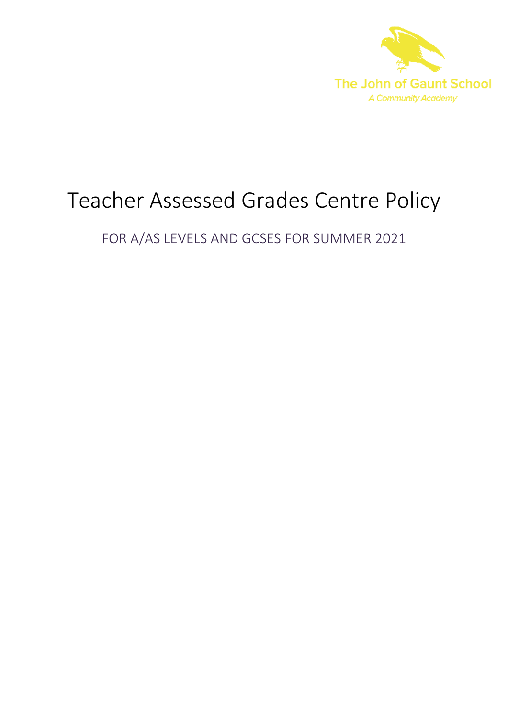

# Teacher Assessed Grades Centre Policy

## FOR A/AS LEVELS AND GCSES FOR SUMMER 2021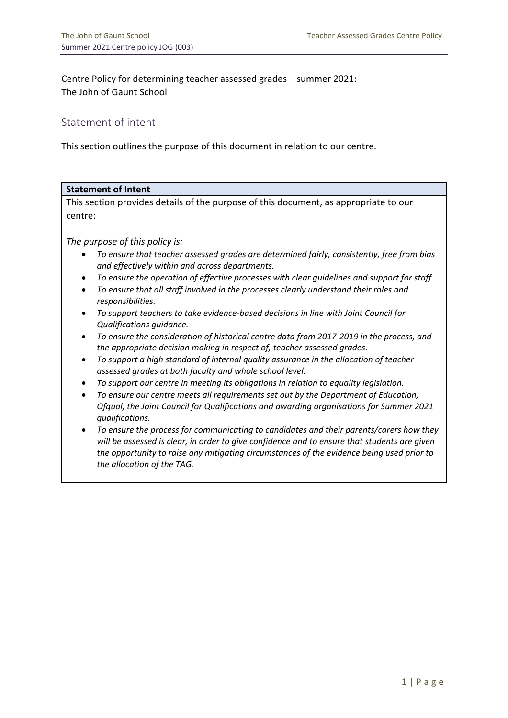Centre Policy for determining teacher assessed grades – summer 2021: The John of Gaunt School

## Statement of intent

This section outlines the purpose of this document in relation to our centre.

| <b>Statement of Intent</b>                                                                                                                                                                                                                                                                                                      |  |
|---------------------------------------------------------------------------------------------------------------------------------------------------------------------------------------------------------------------------------------------------------------------------------------------------------------------------------|--|
| This section provides details of the purpose of this document, as appropriate to our                                                                                                                                                                                                                                            |  |
| centre:                                                                                                                                                                                                                                                                                                                         |  |
|                                                                                                                                                                                                                                                                                                                                 |  |
| The purpose of this policy is:                                                                                                                                                                                                                                                                                                  |  |
| To ensure that teacher assessed grades are determined fairly, consistently, free from bias<br>and effectively within and across departments.                                                                                                                                                                                    |  |
| To ensure the operation of effective processes with clear guidelines and support for staff.<br>$\bullet$<br>To ensure that all staff involved in the processes clearly understand their roles and<br>$\bullet$<br>responsibilities.                                                                                             |  |
| To support teachers to take evidence-based decisions in line with Joint Council for<br>Qualifications guidance.                                                                                                                                                                                                                 |  |
| To ensure the consideration of historical centre data from 2017-2019 in the process, and<br>$\bullet$<br>the appropriate decision making in respect of, teacher assessed grades.                                                                                                                                                |  |
| To support a high standard of internal quality assurance in the allocation of teacher<br>$\bullet$<br>assessed grades at both faculty and whole school level.                                                                                                                                                                   |  |
| To support our centre in meeting its obligations in relation to equality legislation.                                                                                                                                                                                                                                           |  |
| To ensure our centre meets all requirements set out by the Department of Education,<br>$\bullet$                                                                                                                                                                                                                                |  |
| Ofqual, the Joint Council for Qualifications and awarding organisations for Summer 2021<br>qualifications.                                                                                                                                                                                                                      |  |
| To ensure the process for communicating to candidates and their parents/carers how they<br>$\bullet$<br>will be assessed is clear, in order to give confidence and to ensure that students are given<br>the opportunity to raise any mitigating circumstances of the evidence being used prior to<br>the allocation of the TAG. |  |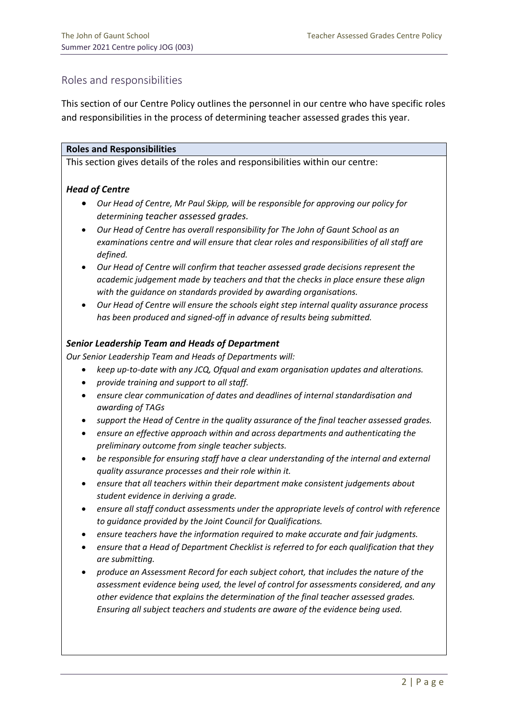## Roles and responsibilities

This section of our Centre Policy outlines the personnel in our centre who have specific roles and responsibilities in the process of determining teacher assessed grades this year.

#### **Roles and Responsibilities**

This section gives details of the roles and responsibilities within our centre:

#### *Head of Centre*

- *Our Head of Centre, Mr Paul Skipp, will be responsible for approving our policy for determining teacher assessed grades.*
- *Our Head of Centre has overall responsibility for The John of Gaunt School as an examinations centre and will ensure that clear roles and responsibilities of all staff are defined.*
- *Our Head of Centre will confirm that teacher assessed grade decisions represent the academic judgement made by teachers and that the checks in place ensure these align with the guidance on standards provided by awarding organisations.*
- *Our Head of Centre will ensure the schools eight step internal quality assurance process has been produced and signed-off in advance of results being submitted.*

#### *Senior Leadership Team and Heads of Department*

*Our Senior Leadership Team and Heads of Departments will:*

- *keep up-to-date with any JCQ, Ofqual and exam organisation updates and alterations.*
- *provide training and support to all staff.*
- *ensure clear communication of dates and deadlines of internal standardisation and awarding of TAGs*
- *support the Head of Centre in the quality assurance of the final teacher assessed grades.*
- *ensure an effective approach within and across departments and authenticating the preliminary outcome from single teacher subjects.*
- *be responsible for ensuring staff have a clear understanding of the internal and external quality assurance processes and their role within it.*
- *ensure that all teachers within their department make consistent judgements about student evidence in deriving a grade.*
- *ensure all staff conduct assessments under the appropriate levels of control with reference to guidance provided by the Joint Council for Qualifications.*
- *ensure teachers have the information required to make accurate and fair judgments.*
- *ensure that a Head of Department Checklist is referred to for each qualification that they are submitting.*
- *produce an Assessment Record for each subject cohort, that includes the nature of the assessment evidence being used, the level of control for assessments considered, and any other evidence that explains the determination of the final teacher assessed grades. Ensuring all subject teachers and students are aware of the evidence being used.*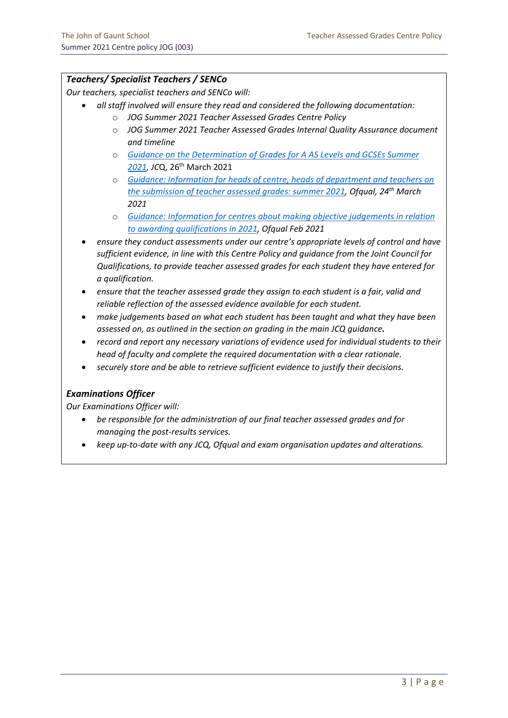#### *Teachers/ Specialist Teachers / SENCo*

*Our teachers, specialist teachers and SENCo will:*

- *all staff involved will ensure they read and considered the following documentation:*
	- o *JOG Summer 2021 Teacher Assessed Grades Centre Policy*
	- o *JOG Summer 2021 Teacher Assessed Grades Internal Quality Assurance document and timeline*
	- o *Guidance on the [Determination](https://www.jcq.org.uk/wp-content/uploads/2021/04/JCQ-Guidance-on-the-Determination-of-Grades-for-A-AS-Levels-and-GCSEs-Summer-2021.pdf) of Grades for A AS Levels and GCSEs Summer [2021,](https://www.jcq.org.uk/wp-content/uploads/2021/04/JCQ-Guidance-on-the-Determination-of-Grades-for-A-AS-Levels-and-GCSEs-Summer-2021.pdf) JC*Q, 26th March 2021
	- o *[Guidance: Information for heads of centre, heads of department and teachers on](https://www.gov.uk/government/publications/submission-of-teacher-assessed-grades-summer-2021-info-for-teachers/information-for-heads-of-centre-heads-of-department-and-teachers-on-the-submission-of-teacher-assessed-grades-summer-2021-html)  [the submission of teacher assessed grades: summer 2021,](https://www.gov.uk/government/publications/submission-of-teacher-assessed-grades-summer-2021-info-for-teachers/information-for-heads-of-centre-heads-of-department-and-teachers-on-the-submission-of-teacher-assessed-grades-summer-2021-html) Ofqual, 24th March 2021*
	- o *[Guidance: Information for centres about making objective judgements in relation](https://assets.publishing.service.gov.uk/government/uploads/system/uploads/attachment_data/file/970916/6749-4_Information_for_centres_about_making_objective_judgements.pdf)  [to awarding qualifications in 2021,](https://assets.publishing.service.gov.uk/government/uploads/system/uploads/attachment_data/file/970916/6749-4_Information_for_centres_about_making_objective_judgements.pdf) Ofqual Feb 2021*
- *ensure they conduct assessments under our centre's appropriate levels of control and have sufficient evidence, in line with this Centre Policy and guidance from the Joint Council for Qualifications, to provide teacher assessed grades for each student they have entered for a qualification.*
- *ensure that the teacher assessed grade they assign to each student is a fair, valid and reliable reflection of the assessed evidence available for each student.*
- *make judgements based on what each student has been taught and what they have been assessed on, as outlined in the section on grading in the main JCQ guidance.*
- *record and report any necessary variations of evidence used for individual students to their head of faculty and complete the required documentation with a clear rationale.*
- *securely store and be able to retrieve sufficient evidence to justify their decisions.*

#### *Examinations Officer*

*Our Examinations Officer will:*

- *be responsible for the administration of our final teacher assessed grades and for managing the post-results services.*
- *keep up-to-date with any JCQ, Ofqual and exam organisation updates and alterations.*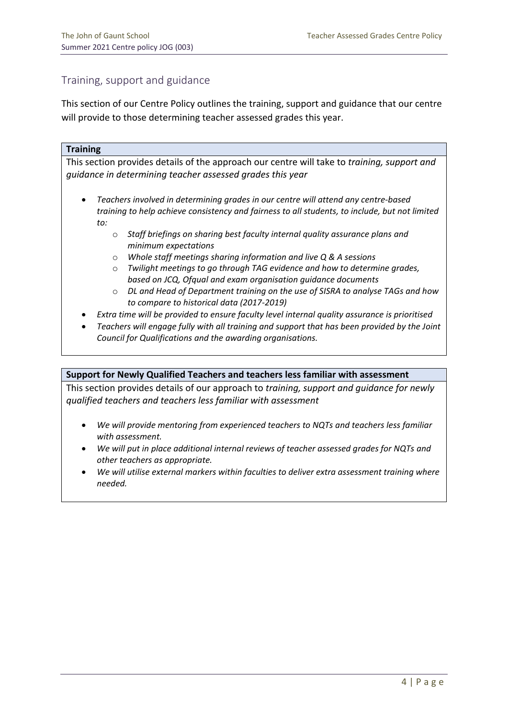## Training, support and guidance

This section of our Centre Policy outlines the training, support and guidance that our centre will provide to those determining teacher assessed grades this year.

#### **Training**

This section provides details of the approach our centre will take to *training, support and guidance in determining teacher assessed grades this year*

- *Teachers involved in determining grades in our centre will attend any centre-based training to help achieve consistency and fairness to all students, to include, but not limited to:*
	- o *Staff briefings on sharing best faculty internal quality assurance plans and minimum expectations*
	- o *Whole staff meetings sharing information and live Q & A sessions*
	- o *Twilight meetings to go through TAG evidence and how to determine grades, based on JCQ, Ofqual and exam organisation guidance documents*
	- o *DL and Head of Department training on the use of SISRA to analyse TAGs and how to compare to historical data (2017-2019)*
- *Extra time will be provided to ensure faculty level internal quality assurance is prioritised*
- *Teachers will engage fully with all training and support that has been provided by the Joint Council for Qualifications and the awarding organisations.*

#### **Support for Newly Qualified Teachers and teachers less familiar with assessment**

This section provides details of our approach to *training, support and guidance for newly qualified teachers and teachers less familiar with assessment*

- *We will provide mentoring from experienced teachers to NQTs and teachers less familiar with assessment.*
- *We will put in place additional internal reviews of teacher assessed grades for NQTs and other teachers as appropriate.*
- *We will utilise external markers within faculties to deliver extra assessment training where needed.*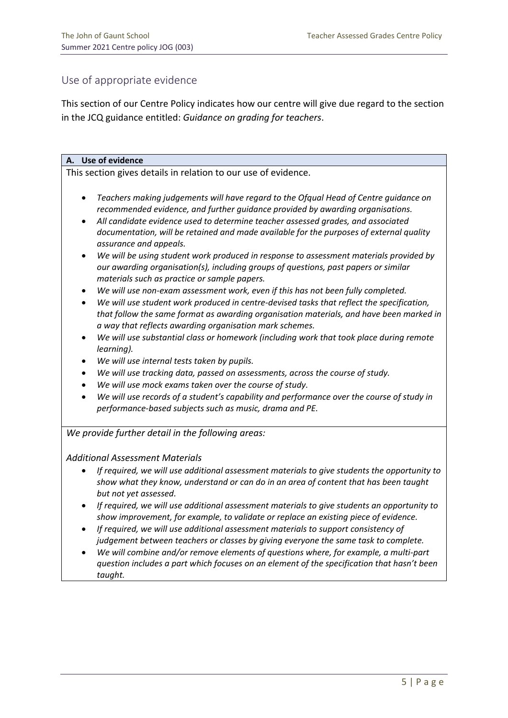## Use of appropriate evidence

This section of our Centre Policy indicates how our centre will give due regard to the section in the JCQ guidance entitled: *Guidance on grading for teachers*.

#### **A. Use of evidence**

This section gives details in relation to our use of evidence.

- *Teachers making judgements will have regard to the Ofqual Head of Centre guidance on recommended evidence, and further guidance provided by awarding organisations.*
- *All candidate evidence used to determine teacher assessed grades, and associated documentation, will be retained and made available for the purposes of external quality assurance and appeals.*
- *We will be using student work produced in response to assessment materials provided by our awarding organisation(s), including groups of questions, past papers or similar materials such as practice or sample papers.*
- *We will use non-exam assessment work, even if this has not been fully completed.*
- *We will use student work produced in centre-devised tasks that reflect the specification, that follow the same format as awarding organisation materials, and have been marked in a way that reflects awarding organisation mark schemes.*
- *We will use substantial class or homework (including work that took place during remote learning).*
- *We will use internal tests taken by pupils.*
- *We will use tracking data, passed on assessments, across the course of study.*
- *We will use mock exams taken over the course of study.*
- *We will use records of a student's capability and performance over the course of study in performance-based subjects such as music, drama and PE.*

*We provide further detail in the following areas:*

#### *Additional Assessment Materials*

- *If required, we will use additional assessment materials to give students the opportunity to show what they know, understand or can do in an area of content that has been taught but not yet assessed.*
- *If required, we will use additional assessment materials to give students an opportunity to show improvement, for example, to validate or replace an existing piece of evidence.*
- *If required, we will use additional assessment materials to support consistency of judgement between teachers or classes by giving everyone the same task to complete.*
- *We will combine and/or remove elements of questions where, for example, a multi-part question includes a part which focuses on an element of the specification that hasn't been taught.*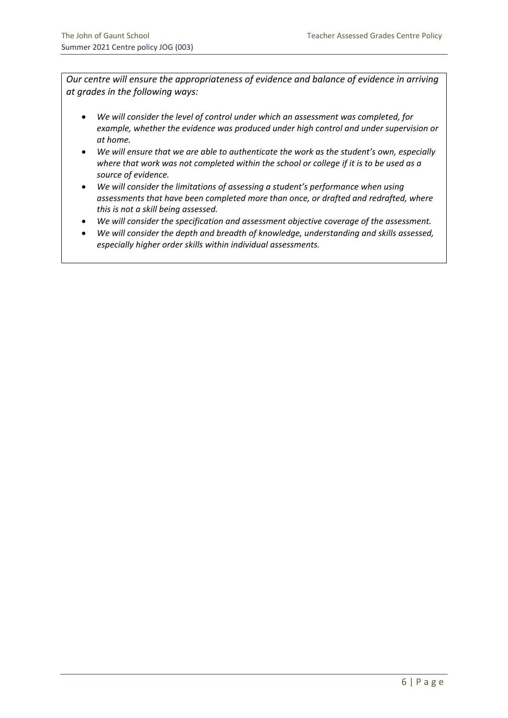*Our centre will ensure the appropriateness of evidence and balance of evidence in arriving at grades in the following ways:*

- *We will consider the level of control under which an assessment was completed, for example, whether the evidence was produced under high control and under supervision or at home.*
- *We will ensure that we are able to authenticate the work as the student's own, especially where that work was not completed within the school or college if it is to be used as a source of evidence.*
- *We will consider the limitations of assessing a student's performance when using assessments that have been completed more than once, or drafted and redrafted, where this is not a skill being assessed.*
- *We will consider the specification and assessment objective coverage of the assessment.*
- *We will consider the depth and breadth of knowledge, understanding and skills assessed, especially higher order skills within individual assessments.*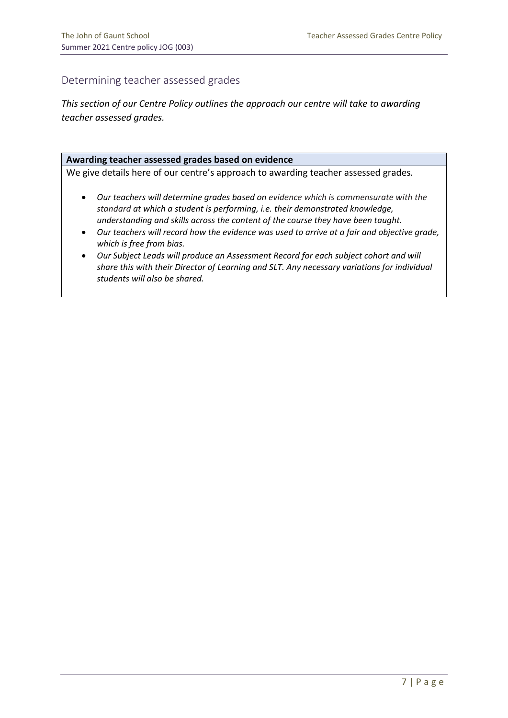## Determining teacher assessed grades

*This section of our Centre Policy outlines the approach our centre will take to awarding teacher assessed grades.*

#### **Awarding teacher assessed grades based on evidence**

We give details here of our centre's approach to awarding teacher assessed grades*.*

- *Our teachers will determine grades based on evidence which is commensurate with the standard at which a student is performing, i.e. their demonstrated knowledge, understanding and skills across the content of the course they have been taught.*
- *Our teachers will record how the evidence was used to arrive at a fair and objective grade, which is free from bias.*
- *Our Subject Leads will produce an Assessment Record for each subject cohort and will share this with their Director of Learning and SLT. Any necessary variations for individual students will also be shared.*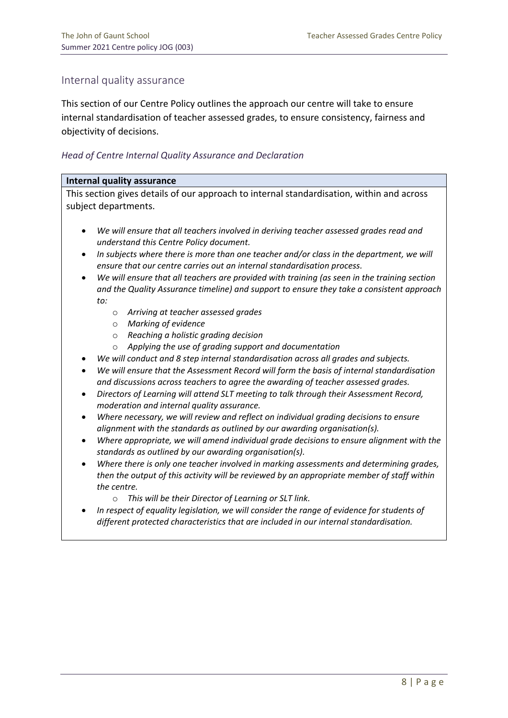## Internal quality assurance

This section of our Centre Policy outlines the approach our centre will take to ensure internal standardisation of teacher assessed grades, to ensure consistency, fairness and objectivity of decisions.

#### *Head of Centre Internal Quality Assurance and Declaration*

#### **Internal quality assurance**

This section gives details of our approach to internal standardisation, within and across subject departments.

- *We will ensure that all teachers involved in deriving teacher assessed grades read and understand this Centre Policy document.*
- *In subjects where there is more than one teacher and/or class in the department, we will ensure that our centre carries out an internal standardisation process.*
- *We will ensure that all teachers are provided with training (as seen in the training section and the Quality Assurance timeline) and support to ensure they take a consistent approach to:*
	- o *Arriving at teacher assessed grades*
	- o *Marking of evidence*
	- o *Reaching a holistic grading decision*
	- o *Applying the use of grading support and documentation*
- *We will conduct and 8 step internal standardisation across all grades and subjects.*
- *We will ensure that the Assessment Record will form the basis of internal standardisation and discussions across teachers to agree the awarding of teacher assessed grades.*
- *Directors of Learning will attend SLT meeting to talk through their Assessment Record, moderation and internal quality assurance.*
- *Where necessary, we will review and reflect on individual grading decisions to ensure alignment with the standards as outlined by our awarding organisation(s).*
- *Where appropriate, we will amend individual grade decisions to ensure alignment with the standards as outlined by our awarding organisation(s).*
- *Where there is only one teacher involved in marking assessments and determining grades, then the output of this activity will be reviewed by an appropriate member of staff within the centre.*
	- o *This will be their Director of Learning or SLT link.*
- *In respect of equality legislation, we will consider the range of evidence for students of different protected characteristics that are included in our internal standardisation.*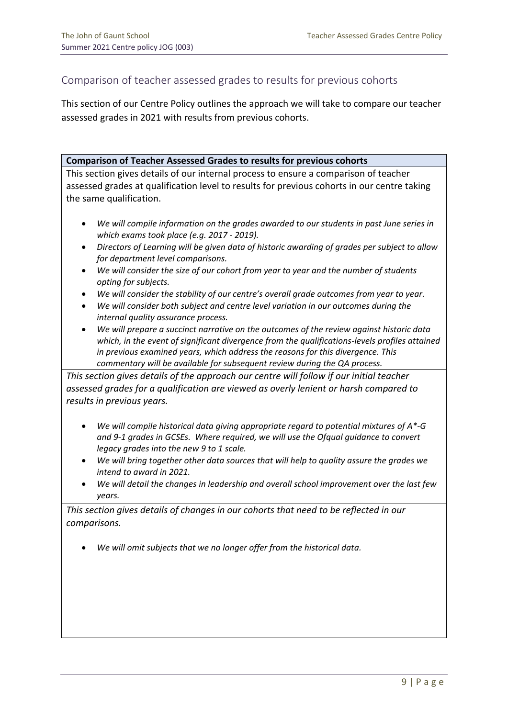## Comparison of teacher assessed grades to results for previous cohorts

This section of our Centre Policy outlines the approach we will take to compare our teacher assessed grades in 2021 with results from previous cohorts.

#### **Comparison of Teacher Assessed Grades to results for previous cohorts**

This section gives details of our internal process to ensure a comparison of teacher assessed grades at qualification level to results for previous cohorts in our centre taking the same qualification.

- *We will compile information on the grades awarded to our students in past June series in which exams took place (e.g. 2017 - 2019).*
- *Directors of Learning will be given data of historic awarding of grades per subject to allow for department level comparisons.*
- *We will consider the size of our cohort from year to year and the number of students opting for subjects.*
- *We will consider the stability of our centre's overall grade outcomes from year to year.*
- *We will consider both subject and centre level variation in our outcomes during the internal quality assurance process.*
- *We will prepare a succinct narrative on the outcomes of the review against historic data which, in the event of significant divergence from the qualifications-levels profiles attained in previous examined years, which address the reasons for this divergence. This commentary will be available for subsequent review during the QA process.*

*This section gives details of the approach our centre will follow if our initial teacher assessed grades for a qualification are viewed as overly lenient or harsh compared to results in previous years.*

- *We will compile historical data giving appropriate regard to potential mixtures of A\*-G and 9-1 grades in GCSEs. Where required, we will use the Ofqual guidance to convert legacy grades into the new 9 to 1 scale.*
- *We will bring together other data sources that will help to quality assure the grades we intend to award in 2021.*
- *We will detail the changes in leadership and overall school improvement over the last few years.*

*This section gives details of changes in our cohorts that need to be reflected in our comparisons.* 

• *We will omit subjects that we no longer offer from the historical data.*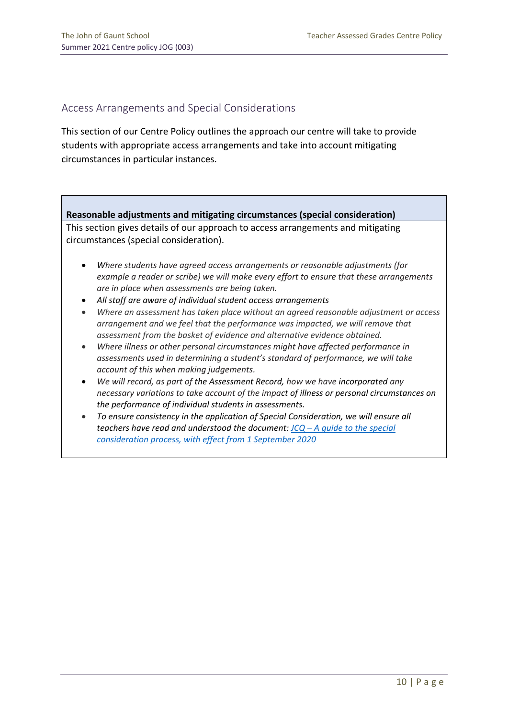## Access Arrangements and Special Considerations

This section of our Centre Policy outlines the approach our centre will take to provide students with appropriate access arrangements and take into account mitigating circumstances in particular instances.

#### **Reasonable adjustments and mitigating circumstances (special consideration)**

This section gives details of our approach to access arrangements and mitigating circumstances (special consideration).

- *Where students have agreed access arrangements or reasonable adjustments (for example a reader or scribe) we will make every effort to ensure that these arrangements are in place when assessments are being taken.*
- *All staff are aware of individual student access arrangements*
- *Where an assessment has taken place without an agreed reasonable adjustment or access arrangement and we feel that the performance was impacted, we will remove that assessment from the basket of evidence and alternative evidence obtained.*
- *Where illness or other personal circumstances might have affected performance in assessments used in determining a student's standard of performance, we will take account of this when making judgements.*
- *We will record, as part of the Assessment Record, how we have incorporated any necessary variations to take account of the impact of illness or personal circumstances on the performance of individual students in assessments.*
- *To ensure consistency in the application of Special Consideration, we will ensure all teachers have read and understood the document: JCQ – [A guide to the special](https://www.jcq.org.uk/wp-content/uploads/2020/08/A-guide-to-the-spec-con-process-202021-Website-version.pdf)  [consideration process, with effect from 1 September 2020](https://www.jcq.org.uk/wp-content/uploads/2020/08/A-guide-to-the-spec-con-process-202021-Website-version.pdf)*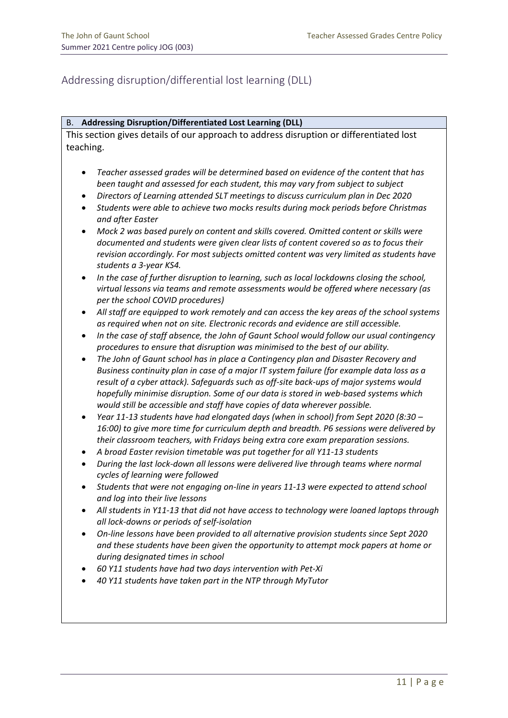## Addressing disruption/differential lost learning (DLL)

#### B. **Addressing Disruption/Differentiated Lost Learning (DLL)**

This section gives details of our approach to address disruption or differentiated lost teaching.

- *Teacher assessed grades will be determined based on evidence of the content that has been taught and assessed for each student, this may vary from subject to subject*
- *Directors of Learning attended SLT meetings to discuss curriculum plan in Dec 2020*
- *Students were able to achieve two mocks results during mock periods before Christmas and after Easter*
- *Mock 2 was based purely on content and skills covered. Omitted content or skills were documented and students were given clear lists of content covered so as to focus their revision accordingly. For most subjects omitted content was very limited as students have students a 3-year KS4.*
- *In the case of further disruption to learning, such as local lockdowns closing the school, virtual lessons via teams and remote assessments would be offered where necessary (as per the school COVID procedures)*
- *All staff are equipped to work remotely and can access the key areas of the school systems as required when not on site. Electronic records and evidence are still accessible.*
- *In the case of staff absence, the John of Gaunt School would follow our usual contingency procedures to ensure that disruption was minimised to the best of our ability.*
- *The John of Gaunt school has in place a Contingency plan and Disaster Recovery and Business continuity plan in case of a major IT system failure (for example data loss as a result of a cyber attack). Safeguards such as off-site back-ups of major systems would hopefully minimise disruption. Some of our data is stored in web-based systems which would still be accessible and staff have copies of data wherever possible.*
- *Year 11-13 students have had elongated days (when in school) from Sept 2020 (8:30 – 16:00) to give more time for curriculum depth and breadth. P6 sessions were delivered by their classroom teachers, with Fridays being extra core exam preparation sessions.*
- *A broad Easter revision timetable was put together for all Y11-13 students*
- *During the last lock-down all lessons were delivered live through teams where normal cycles of learning were followed*
- *Students that were not engaging on-line in years 11-13 were expected to attend school and log into their live lessons*
- *All students in Y11-13 that did not have access to technology were loaned laptops through all lock-downs or periods of self-isolation*
- *On-line lessons have been provided to all alternative provision students since Sept 2020 and these students have been given the opportunity to attempt mock papers at home or during designated times in school*
- *60 Y11 students have had two days intervention with Pet-Xi*
- *40 Y11 students have taken part in the NTP through MyTutor*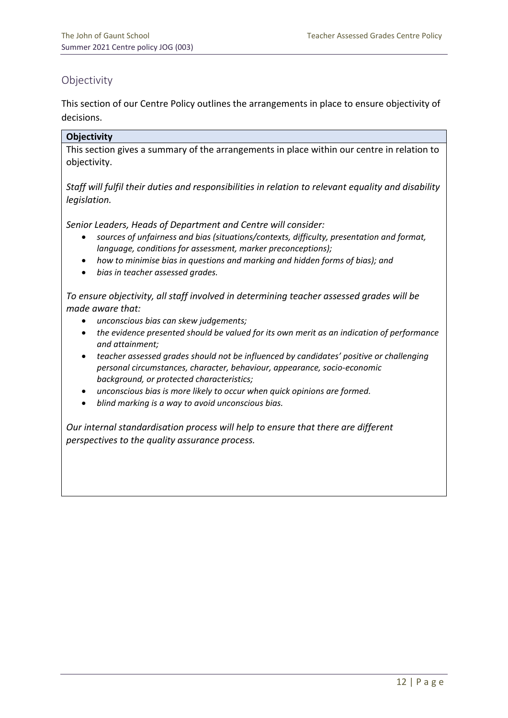## **Objectivity**

This section of our Centre Policy outlines the arrangements in place to ensure objectivity of decisions.

#### **Objectivity**

This section gives a summary of the arrangements in place within our centre in relation to objectivity.

*Staff will fulfil their duties and responsibilities in relation to relevant equality and disability legislation.*

*Senior Leaders, Heads of Department and Centre will consider:*

- *sources of unfairness and bias (situations/contexts, difficulty, presentation and format, language, conditions for assessment, marker preconceptions);*
- *how to minimise bias in questions and marking and hidden forms of bias); and*
- *bias in teacher assessed grades.*

*To ensure objectivity, all staff involved in determining teacher assessed grades will be made aware that:*

- *unconscious bias can skew judgements;*
- *the evidence presented should be valued for its own merit as an indication of performance and attainment;*
- *teacher assessed grades should not be influenced by candidates' positive or challenging personal circumstances, character, behaviour, appearance, socio-economic background, or protected characteristics;*
- *unconscious bias is more likely to occur when quick opinions are formed.*
- *blind marking is a way to avoid unconscious bias.*

*Our internal standardisation process will help to ensure that there are different perspectives to the quality assurance process.*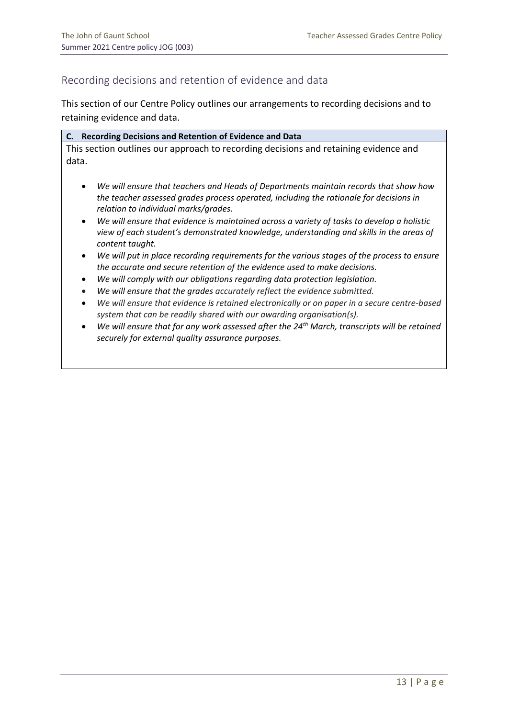## Recording decisions and retention of evidence and data

This section of our Centre Policy outlines our arrangements to recording decisions and to retaining evidence and data.

|       | C. Recording Decisions and Retention of Evidence and Data                            |
|-------|--------------------------------------------------------------------------------------|
|       | This section outlines our approach to recording decisions and retaining evidence and |
| data. |                                                                                      |

- *We will ensure that teachers and Heads of Departments maintain records that show how the teacher assessed grades process operated, including the rationale for decisions in relation to individual marks/grades.*
- *We will ensure that evidence is maintained across a variety of tasks to develop a holistic view of each student's demonstrated knowledge, understanding and skills in the areas of content taught.*
- *We will put in place recording requirements for the various stages of the process to ensure the accurate and secure retention of the evidence used to make decisions.*
- *We will comply with our obligations regarding data protection legislation.*
- *We will ensure that the grades accurately reflect the evidence submitted.*
- *We will ensure that evidence is retained electronically or on paper in a secure centre-based system that can be readily shared with our awarding organisation(s).*
- *We will ensure that for any work assessed after the 24th March, transcripts will be retained securely for external quality assurance purposes.*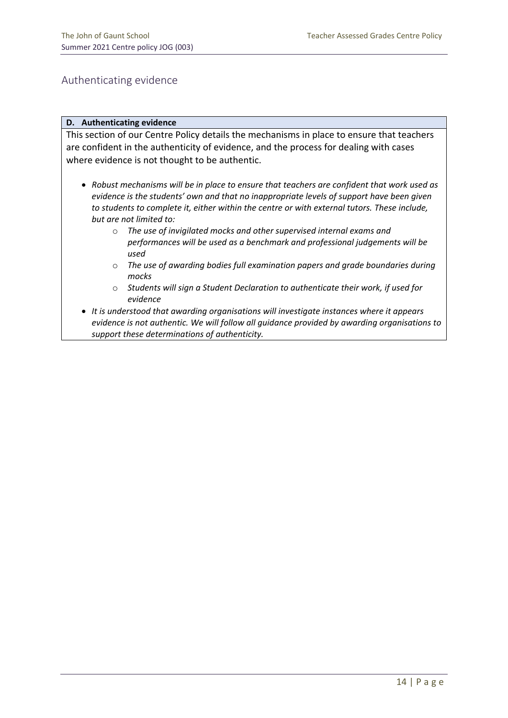## Authenticating evidence

#### **D. Authenticating evidence**

This section of our Centre Policy details the mechanisms in place to ensure that teachers are confident in the authenticity of evidence, and the process for dealing with cases where evidence is not thought to be authentic.

- *Robust mechanisms will be in place to ensure that teachers are confident that work used as evidence is the students' own and that no inappropriate levels of support have been given to students to complete it, either within the centre or with external tutors. These include, but are not limited to:*
	- o *The use of invigilated mocks and other supervised internal exams and performances will be used as a benchmark and professional judgements will be used*
	- o *The use of awarding bodies full examination papers and grade boundaries during mocks*
	- o *Students will sign a Student Declaration to authenticate their work, if used for evidence*
- *It is understood that awarding organisations will investigate instances where it appears evidence is not authentic. We will follow all guidance provided by awarding organisations to support these determinations of authenticity.*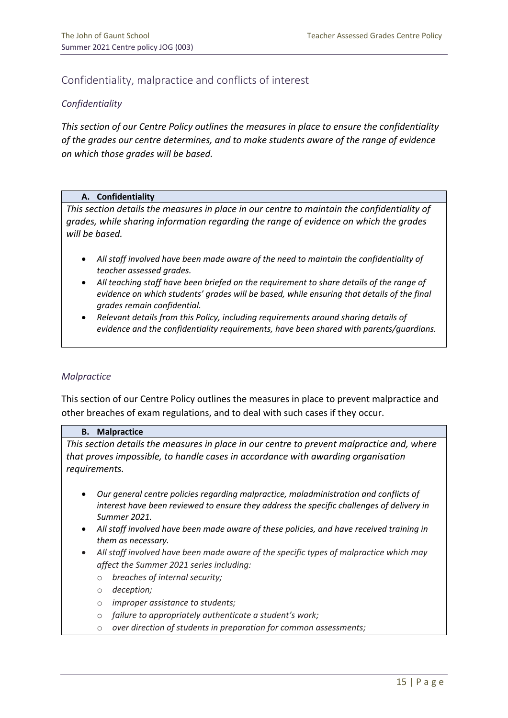## Confidentiality, malpractice and conflicts of interest

#### *Confidentiality*

*This section of our Centre Policy outlines the measures in place to ensure the confidentiality of the grades our centre determines, and to make students aware of the range of evidence on which those grades will be based.*

#### **A. Confidentiality**

*This section details the measures in place in our centre to maintain the confidentiality of grades, while sharing information regarding the range of evidence on which the grades will be based.* 

- *All staff involved have been made aware of the need to maintain the confidentiality of teacher assessed grades.*
- *All teaching staff have been briefed on the requirement to share details of the range of evidence on which students' grades will be based, while ensuring that details of the final grades remain confidential.*
- *Relevant details from this Policy, including requirements around sharing details of evidence and the confidentiality requirements, have been shared with parents/guardians.*

#### *Malpractice*

This section of our Centre Policy outlines the measures in place to prevent malpractice and other breaches of exam regulations, and to deal with such cases if they occur.

#### **B. Malpractice**

*This section details the measures in place in our centre to prevent malpractice and, where that proves impossible, to handle cases in accordance with awarding organisation requirements.*

- *Our general centre policies regarding malpractice, maladministration and conflicts of interest have been reviewed to ensure they address the specific challenges of delivery in Summer 2021.*
- *All staff involved have been made aware of these policies, and have received training in them as necessary.*
- *All staff involved have been made aware of the specific types of malpractice which may affect the Summer 2021 series including:*
	- o *breaches of internal security;*
	- o *deception;*
	- o *improper assistance to students;*
	- o *failure to appropriately authenticate a student's work;*
	- o *over direction of students in preparation for common assessments;*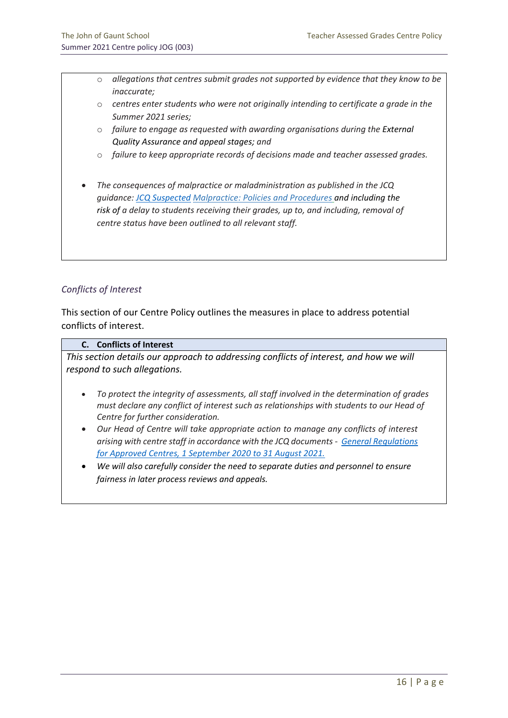- o *allegations that centres submit grades not supported by evidence that they know to be inaccurate;*
- o *centres enter students who were not originally intending to certificate a grade in the Summer 2021 series;*
- o *failure to engage as requested with awarding organisations during the External Quality Assurance and appeal stages; and*
- o *failure to keep appropriate records of decisions made and teacher assessed grades.*
- *The consequences of malpractice or maladministration as published in the JCQ guidance: [JCQ Suspected](https://www.jcq.org.uk/exams-office/malpractice/jcq-suspected-malpractice-policies-and-procedures-2019-2020) Malpractice: Policies and Procedures and including the risk of a delay to students receiving their grades, up to, and including, removal of centre status have been outlined to all relevant staff.*

#### *Conflicts of Interest*

This section of our Centre Policy outlines the measures in place to address potential conflicts of interest.

#### **C. Conflicts of Interest**

*This section details our approach to addressing conflicts of interest, and how we will respond to such allegations.*

- *To protect the integrity of assessments, all staff involved in the determination of grades must declare any conflict of interest such as relationships with students to our Head of Centre for further consideration.*
- *Our Head of Centre will take appropriate action to manage any conflicts of interest arising with centre staff in accordance with the JCQ documents - [General Regulations](https://www.jcq.org.uk/wp-content/uploads/2020/09/Gen_regs_approved_centres_20-21_FINAL.pdf)  [for Approved Centres, 1 September 2020 to 31 August 2021.](https://www.jcq.org.uk/wp-content/uploads/2020/09/Gen_regs_approved_centres_20-21_FINAL.pdf)*
- *We will also carefully consider the need to separate duties and personnel to ensure fairness in later process reviews and appeals.*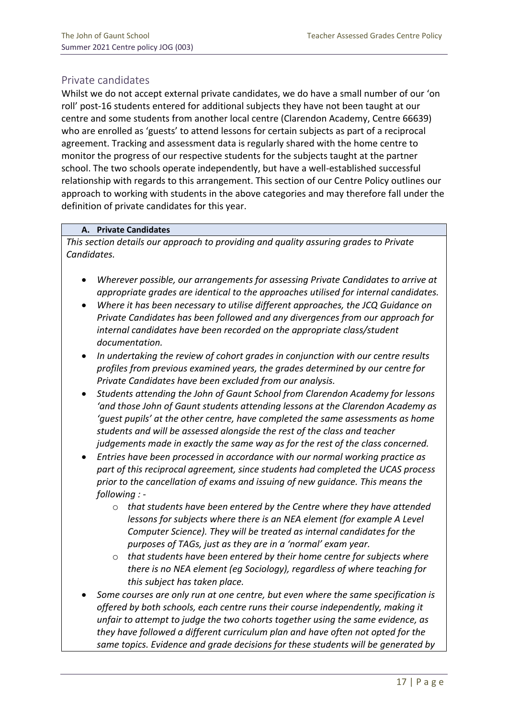## Private candidates

Whilst we do not accept external private candidates, we do have a small number of our 'on roll' post-16 students entered for additional subjects they have not been taught at our centre and some students from another local centre (Clarendon Academy, Centre 66639) who are enrolled as 'guests' to attend lessons for certain subjects as part of a reciprocal agreement. Tracking and assessment data is regularly shared with the home centre to monitor the progress of our respective students for the subjects taught at the partner school. The two schools operate independently, but have a well-established successful relationship with regards to this arrangement. This section of our Centre Policy outlines our approach to working with students in the above categories and may therefore fall under the definition of private candidates for this year.

#### **A. Private Candidates**

*This section details our approach to providing and quality assuring grades to Private Candidates.*

- *Wherever possible, our arrangements for assessing Private Candidates to arrive at appropriate grades are identical to the approaches utilised for internal candidates.*
- *Where it has been necessary to utilise different approaches, the JCQ Guidance on Private Candidates has been followed and any divergences from our approach for internal candidates have been recorded on the appropriate class/student documentation.*
- *In undertaking the review of cohort grades in conjunction with our centre results profiles from previous examined years, the grades determined by our centre for Private Candidates have been excluded from our analysis.*
- *Students attending the John of Gaunt School from Clarendon Academy for lessons 'and those John of Gaunt students attending lessons at the Clarendon Academy as 'guest pupils' at the other centre, have completed the same assessments as home students and will be assessed alongside the rest of the class and teacher judgements made in exactly the same way as for the rest of the class concerned.*
- *Entries have been processed in accordance with our normal working practice as part of this reciprocal agreement, since students had completed the UCAS process prior to the cancellation of exams and issuing of new guidance. This means the following :* 
	- o *that students have been entered by the Centre where they have attended lessons for subjects where there is an NEA element (for example A Level Computer Science). They will be treated as internal candidates for the purposes of TAGs, just as they are in a 'normal' exam year.*
	- o *that students have been entered by their home centre for subjects where there is no NEA element (eg Sociology), regardless of where teaching for this subject has taken place.*
- *Some courses are only run at one centre, but even where the same specification is offered by both schools, each centre runs their course independently, making it unfair to attempt to judge the two cohorts together using the same evidence, as they have followed a different curriculum plan and have often not opted for the same topics. Evidence and grade decisions for these students will be generated by*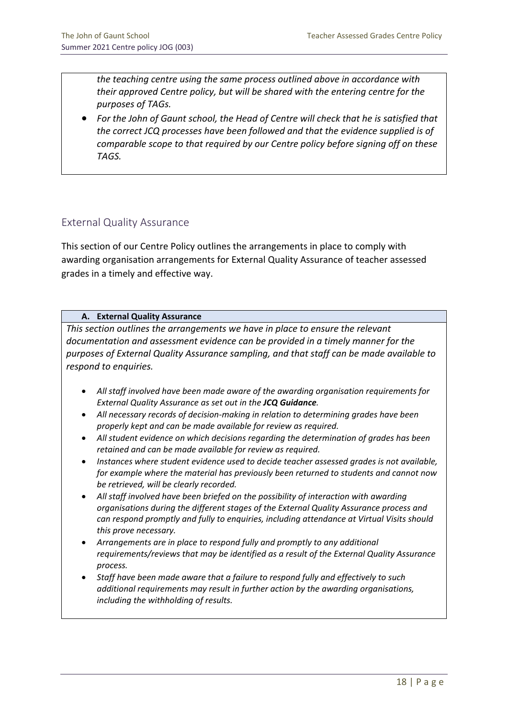*the teaching centre using the same process outlined above in accordance with their approved Centre policy, but will be shared with the entering centre for the purposes of TAGs.* 

• *For the John of Gaunt school, the Head of Centre will check that he is satisfied that the correct JCQ processes have been followed and that the evidence supplied is of comparable scope to that required by our Centre policy before signing off on these TAGS.*

## External Quality Assurance

This section of our Centre Policy outlines the arrangements in place to comply with awarding organisation arrangements for External Quality Assurance of teacher assessed grades in a timely and effective way.

#### **A. External Quality Assurance**

*This section outlines the arrangements we have in place to ensure the relevant documentation and assessment evidence can be provided in a timely manner for the purposes of External Quality Assurance sampling, and that staff can be made available to respond to enquiries.*

- *All staff involved have been made aware of the awarding organisation requirements for External Quality Assurance as set out in the JCQ Guidance.*
- *All necessary records of decision-making in relation to determining grades have been properly kept and can be made available for review as required.*
- *All student evidence on which decisions regarding the determination of grades has been retained and can be made available for review as required.*
- *Instances where student evidence used to decide teacher assessed grades is not available, for example where the material has previously been returned to students and cannot now be retrieved, will be clearly recorded.*
- *All staff involved have been briefed on the possibility of interaction with awarding organisations during the different stages of the External Quality Assurance process and can respond promptly and fully to enquiries, including attendance at Virtual Visits should this prove necessary.*
- *Arrangements are in place to respond fully and promptly to any additional requirements/reviews that may be identified as a result of the External Quality Assurance process.*
- *Staff have been made aware that a failure to respond fully and effectively to such additional requirements may result in further action by the awarding organisations, including the withholding of results.*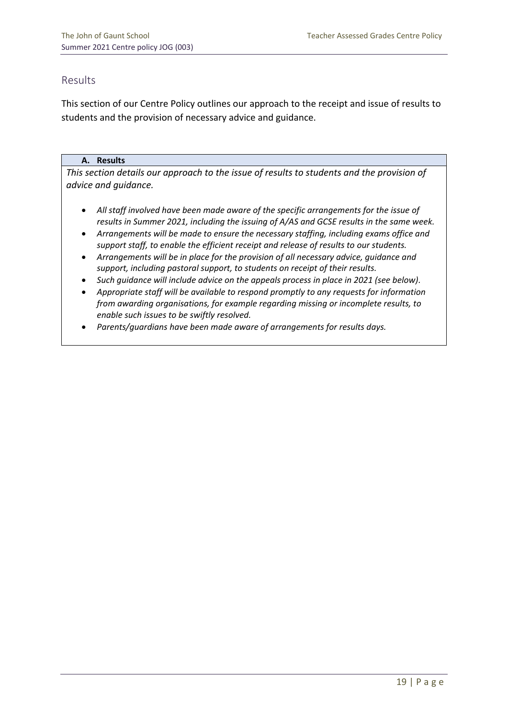## Results

This section of our Centre Policy outlines our approach to the receipt and issue of results to students and the provision of necessary advice and guidance.

#### **A. Results**

*This section details our approach to the issue of results to students and the provision of advice and guidance.*

- *All staff involved have been made aware of the specific arrangements for the issue of results in Summer 2021, including the issuing of A/AS and GCSE results in the same week.*
- *Arrangements will be made to ensure the necessary staffing, including exams office and support staff, to enable the efficient receipt and release of results to our students.*
- *Arrangements will be in place for the provision of all necessary advice, guidance and support, including pastoral support, to students on receipt of their results.*
- *Such guidance will include advice on the appeals process in place in 2021 (see below).*
- *Appropriate staff will be available to respond promptly to any requests for information from awarding organisations, for example regarding missing or incomplete results, to enable such issues to be swiftly resolved.*
- *Parents/guardians have been made aware of arrangements for results days.*